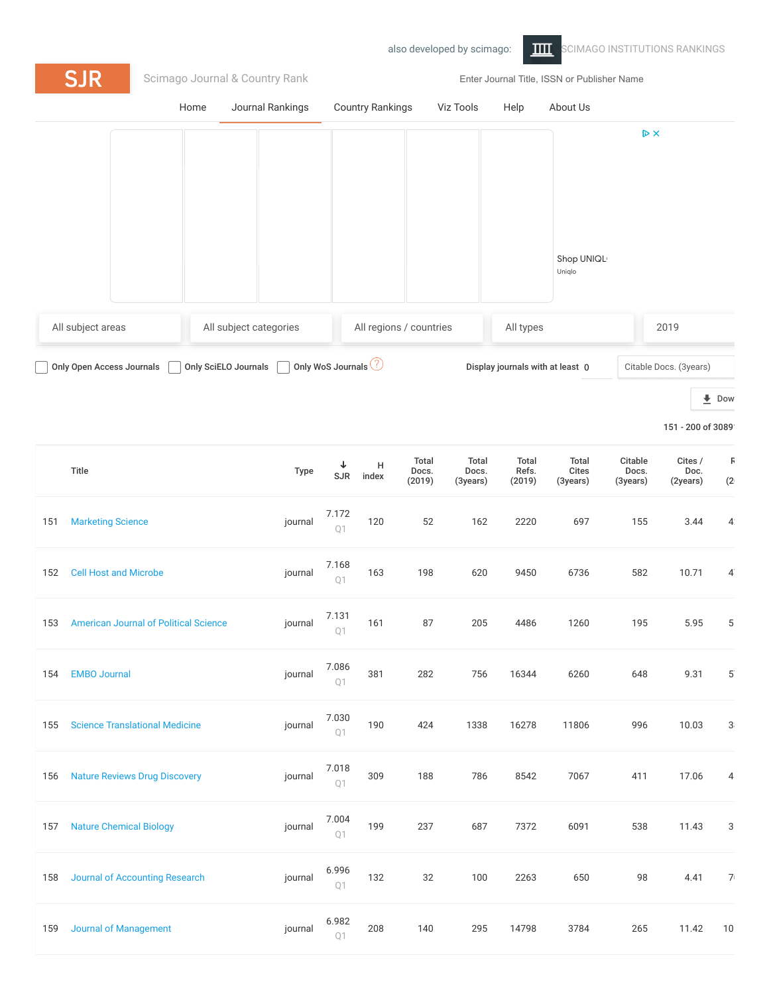## also developed by scimago: THE [SCIMAGO INSTITUTIONS RANKINGS](https://www.scimagoir.com/) **SJR** [Scimago Journal & Country Rank](https://www.scimagojr.com/) Enter Journal Title, ISSN or Publisher Name [Home](https://www.scimagojr.com/index.php) [Journal Rankings](https://www.scimagojr.com/journalrank.php) [Country Rankings](https://www.scimagojr.com/countryrank.php) [Viz Tools](https://www.scimagojr.com/viztools.php) [Help](https://www.scimagojr.com/help.php) [About Us](https://www.scimagojr.com/aboutus.php)  $\triangleright$  X Shop UNIQL Uniqlo All subject areas All subject categories All regions / countries All types 2019

Only Open Access Journals  $\Box$  Only SciELO Journals  $\Box$  Only WoS Journals  $\oslash$  Display journals with at least 0  $\Box$  Citable Docs. (3years)

**L** [Dow](https://www.scimagojr.com/journalrank.php?out=xls)

```
151 - 200 of 3089
```

|     | Title                                        | Type    | ↓<br>SJR                | $\mathsf H$<br>index | Total<br>Docs.<br>(2019) | Total<br>Docs.<br>(3years) | Total<br>Refs.<br>(2019) | Total<br><b>Cites</b><br>(3years) | Citable<br>Docs.<br>(3years) | Cites /<br>Doc.<br>(2years) | F<br>(2)       |
|-----|----------------------------------------------|---------|-------------------------|----------------------|--------------------------|----------------------------|--------------------------|-----------------------------------|------------------------------|-----------------------------|----------------|
| 151 | <b>Marketing Science</b>                     | journal | 7.172<br>Q1             | 120                  | 52                       | 162                        | 2220                     | 697                               | 155                          | 3.44                        | $\mathbf{4}$   |
| 152 | <b>Cell Host and Microbe</b>                 | journal | 7.168<br>Q1             | 163                  | 198                      | 620                        | 9450                     | 6736                              | 582                          | 10.71                       | $\overline{4}$ |
| 153 | <b>American Journal of Political Science</b> | journal | 7.131<br>Q <sub>1</sub> | 161                  | 87                       | 205                        | 4486                     | 1260                              | 195                          | 5.95                        | 5              |
| 154 | <b>EMBO Journal</b>                          | journal | 7.086<br>Q <sub>1</sub> | 381                  | 282                      | 756                        | 16344                    | 6260                              | 648                          | 9.31                        | $5^{\circ}$    |
| 155 | <b>Science Translational Medicine</b>        | journal | 7.030<br>Q1             | 190                  | 424                      | 1338                       | 16278                    | 11806                             | 996                          | 10.03                       | 3              |
| 156 | <b>Nature Reviews Drug Discovery</b>         | journal | 7.018<br>Q1             | 309                  | 188                      | 786                        | 8542                     | 7067                              | 411                          | 17.06                       | 4              |
| 157 | <b>Nature Chemical Biology</b>               | journal | 7.004<br>Q <sub>1</sub> | 199                  | 237                      | 687                        | 7372                     | 6091                              | 538                          | 11.43                       | 3              |
| 158 | <b>Journal of Accounting Research</b>        | journal | 6.996<br>Q1             | 132                  | 32                       | 100                        | 2263                     | 650                               | 98                           | 4.41                        | 7 <sup>1</sup> |
| 159 | <b>Journal of Management</b>                 | journal | 6.982<br>Q1             | 208                  | 140                      | 295                        | 14798                    | 3784                              | 265                          | 11.42                       | 10             |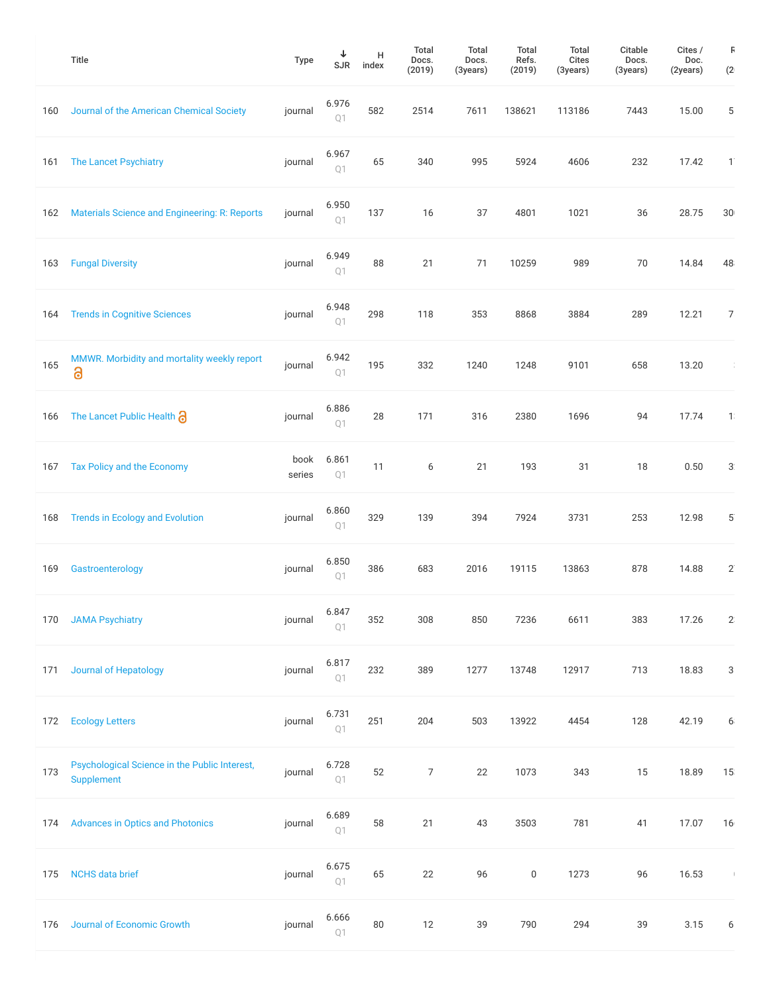|     | <b>Title</b>                                                | <b>Type</b>    | ↓<br>SJR                         | н<br>index | Total<br>Docs.<br>(2019) | Total<br>Docs.<br>(3years) | Total<br>Refs.<br>(2019) | Total<br>Cites<br>(3years) | Citable<br>Docs.<br>(3years) | Cites /<br>Doc.<br>(2years) | F<br>(2)                   |
|-----|-------------------------------------------------------------|----------------|----------------------------------|------------|--------------------------|----------------------------|--------------------------|----------------------------|------------------------------|-----------------------------|----------------------------|
| 160 | Journal of the American Chemical Society                    | journal        | 6.976<br>Q1                      | 582        | 2514                     | 7611                       | 138621                   | 113186                     | 7443                         | 15.00                       | 5                          |
| 161 | The Lancet Psychiatry                                       | journal        | 6.967<br>Q1                      | 65         | 340                      | 995                        | 5924                     | 4606                       | 232                          | 17.42                       | $1^{\circ}$                |
| 162 | Materials Science and Engineering: R: Reports               | journal        | 6.950<br>Q1                      | 137        | 16                       | 37                         | 4801                     | 1021                       | 36                           | 28.75                       | 30                         |
| 163 | <b>Fungal Diversity</b>                                     | journal        | 6.949<br>Q <sub>1</sub>          | 88         | 21                       | 71                         | 10259                    | 989                        | 70                           | 14.84                       | 48                         |
| 164 | <b>Trends in Cognitive Sciences</b>                         | journal        | 6.948<br>Q1                      | 298        | 118                      | 353                        | 8868                     | 3884                       | 289                          | 12.21                       | 7 <sup>1</sup>             |
| 165 | MMWR. Morbidity and mortality weekly report<br>3            | journal        | 6.942<br>Q1                      | 195        | 332                      | 1240                       | 1248                     | 9101                       | 658                          | 13.20                       | $\mathcal{L}_{\mathrm{c}}$ |
| 166 | The Lancet Public Health a                                  | journal        | 6.886<br>Q1                      | 28         | 171                      | 316                        | 2380                     | 1696                       | 94                           | 17.74                       | $\mathbf{1}$ :             |
| 167 | Tax Policy and the Economy                                  | book<br>series | 6.861<br>$\mathop{\mathrm{Q}}$ 1 | 11         | 6                        | 21                         | 193                      | 31                         | 18                           | 0.50                        | 3 <sup>°</sup>             |
| 168 | <b>Trends in Ecology and Evolution</b>                      | journal        | 6.860<br>Q <sub>1</sub>          | 329        | 139                      | 394                        | 7924                     | 3731                       | 253                          | 12.98                       | $5^{\circ}$                |
| 169 | Gastroenterology                                            | journal        | 6.850<br>Q1                      | 386        | 683                      | 2016                       | 19115                    | 13863                      | 878                          | 14.88                       | $2^{n}$                    |
| 170 | <b>JAMA Psychiatry</b>                                      | journal        | 6.847<br>Q1                      | 352        | 308                      | 850                        | 7236                     | 6611                       | 383                          | 17.26                       | 2                          |
| 171 | Journal of Hepatology                                       | journal        | 6.817<br>Q1                      | 232        | 389                      | 1277                       | 13748                    | 12917                      | 713                          | 18.83                       | 3                          |
| 172 | <b>Ecology Letters</b>                                      | journal        | 6.731<br>Q1                      | 251        | 204                      | 503                        | 13922                    | 4454                       | 128                          | 42.19                       | 6                          |
| 173 | Psychological Science in the Public Interest,<br>Supplement | journal        | 6.728<br>$\mathop{\mathrm{Q}}$ 1 | 52         | $\overline{7}$           | 22                         | 1073                     | 343                        | 15                           | 18.89                       | 15                         |
| 174 | <b>Advances in Optics and Photonics</b>                     | journal        | 6.689<br>Q1                      | 58         | 21                       | 43                         | 3503                     | 781                        | 41                           | 17.07                       | 16                         |
| 175 | <b>NCHS</b> data brief                                      | journal        | 6.675<br>$\mathbb{Q}\sqrt{ }$    | 65         | 22                       | 96                         | $\boldsymbol{0}$         | 1273                       | 96                           | 16.53                       | $\parallel$                |
| 176 | Journal of Economic Growth                                  | journal        | 6.666<br>$\mathbb{Q}\sqrt{ }$    | $80\,$     | 12                       | 39                         | 790                      | 294                        | 39                           | 3.15                        | 6                          |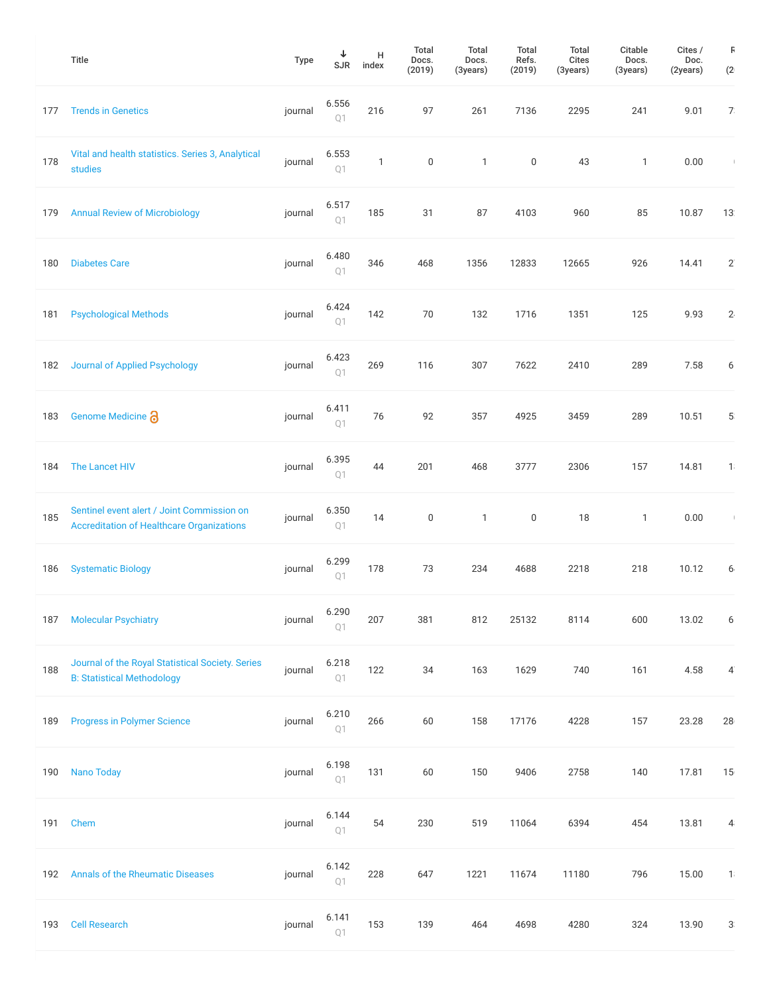|     | <b>Title</b>                                                                                   | Type    | ↓<br>SJR                                  | н<br>index   | Total<br>Docs.<br>(2019) | Total<br>Docs.<br>(3years) | <b>Total</b><br>Refs.<br>(2019) | Total<br>Cites<br>(3years) | Citable<br>Docs.<br>(3years) | Cites /<br>Doc.<br>(2years) | F<br>(2)       |
|-----|------------------------------------------------------------------------------------------------|---------|-------------------------------------------|--------------|--------------------------|----------------------------|---------------------------------|----------------------------|------------------------------|-----------------------------|----------------|
| 177 | <b>Trends in Genetics</b>                                                                      | journal | 6.556<br>Q <sub>1</sub>                   | 216          | 97                       | 261                        | 7136                            | 2295                       | 241                          | 9.01                        | 7 <sup>°</sup> |
| 178 | Vital and health statistics. Series 3, Analytical<br>studies                                   | journal | 6.553<br>Q1                               | $\mathbf{1}$ | $\boldsymbol{0}$         | $\mathbf{1}$               | 0                               | 43                         | $\mathbf{1}$                 | 0.00                        | $\mathcal{A}$  |
| 179 | <b>Annual Review of Microbiology</b>                                                           | journal | 6.517<br>Q1                               | 185          | 31                       | 87                         | 4103                            | 960                        | 85                           | 10.87                       | 13             |
| 180 | <b>Diabetes Care</b>                                                                           | journal | 6.480<br>Q <sub>1</sub>                   | 346          | 468                      | 1356                       | 12833                           | 12665                      | 926                          | 14.41                       | $2^{n}$        |
| 181 | <b>Psychological Methods</b>                                                                   | journal | 6.424<br>Q <sub>1</sub>                   | 142          | 70                       | 132                        | 1716                            | 1351                       | 125                          | 9.93                        | 2.             |
| 182 | <b>Journal of Applied Psychology</b>                                                           | journal | 6.423<br>Q1                               | 269          | 116                      | 307                        | 7622                            | 2410                       | 289                          | 7.58                        | 6              |
| 183 | Genome Medicine a                                                                              | journal | 6.411<br>Q1                               | 76           | 92                       | 357                        | 4925                            | 3459                       | 289                          | 10.51                       | 5              |
| 184 | The Lancet HIV                                                                                 | journal | 6.395<br>Q1                               | 44           | 201                      | 468                        | 3777                            | 2306                       | 157                          | 14.81                       | 1              |
| 185 | Sentinel event alert / Joint Commission on<br><b>Accreditation of Healthcare Organizations</b> | journal | 6.350<br>Q1                               | 14           | $\boldsymbol{0}$         | 1                          | 0                               | 18                         | 1                            | 0.00                        | $\mathbb{R}^n$ |
| 186 | <b>Systematic Biology</b>                                                                      | journal | 6.299<br>Q1                               | 178          | 73                       | 234                        | 4688                            | 2218                       | 218                          | 10.12                       | 6.             |
| 187 | <b>Molecular Psychiatry</b>                                                                    | journal | 6.290<br>Q1                               | 207          | 381                      | 812                        | 25132                           | 8114                       | 600                          | 13.02                       | 6              |
| 188 | Journal of the Royal Statistical Society. Series<br><b>B: Statistical Methodology</b>          | journal | 6.218<br>Q1                               | 122          | 34                       | 163                        | 1629                            | 740                        | 161                          | 4.58                        | $\overline{4}$ |
| 189 | <b>Progress in Polymer Science</b>                                                             | journal | 6.210<br>Q1                               | 266          | 60                       | 158                        | 17176                           | 4228                       | 157                          | 23.28                       | 28             |
| 190 | <b>Nano Today</b>                                                                              | journal | 6.198<br>Q1                               | 131          | 60                       | 150                        | 9406                            | 2758                       | 140                          | 17.81                       | 15             |
| 191 | Chem                                                                                           | journal | 6.144<br>Q1                               | 54           | 230                      | 519                        | 11064                           | 6394                       | 454                          | 13.81                       | 4              |
| 192 | <b>Annals of the Rheumatic Diseases</b>                                                        | journal | 6.142<br>$\mathop{\mathbb{Q}}\nolimits 1$ | 228          | 647                      | 1221                       | 11674                           | 11180                      | 796                          | 15.00                       | 1              |
| 193 | <b>Cell Research</b>                                                                           | journal | 6.141<br>$\mathbb{Q}\sqrt{ }$             | 153          | 139                      | 464                        | 4698                            | 4280                       | 324                          | 13.90                       | 3              |